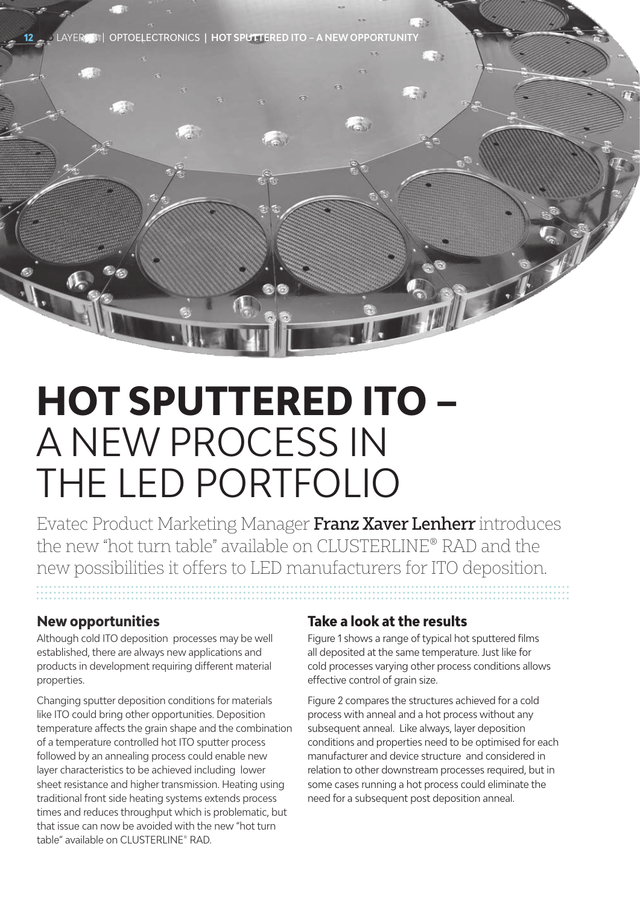**12** LAYERS 4 | OPTOELECTRONICS | **HOT SPUTTERED ITO – A NEW OPPORTUNITY**

# **HOT SPUTTERED ITO –** A NEW PROCESS IN THE LED PORTFOLIO

Evatec Product Marketing Manager Franz Xaver Lenherr introduces the new "hot turn table" available on CLUSTERLINE® RAD and the new possibilities it offers to LED manufacturers for ITO deposition.

### **New opportunities**

Although cold ITO deposition processes may be well established, there are always new applications and products in development requiring different material properties.

Changing sputter deposition conditions for materials like ITO could bring other opportunities. Deposition temperature affects the grain shape and the combination of a temperature controlled hot ITO sputter process followed by an annealing process could enable new layer characteristics to be achieved including lower sheet resistance and higher transmission. Heating using traditional front side heating systems extends process times and reduces throughput which is problematic, but that issue can now be avoided with the new "hot turn table" available on CLUSTERLINE® RAD.

#### **Take a look at the results**

Figure 1 shows a range of typical hot sputtered films all deposited at the same temperature. Just like for cold processes varying other process conditions allows effective control of grain size.

Figure 2 compares the structures achieved for a cold process with anneal and a hot process without any subsequent anneal. Like always, layer deposition conditions and properties need to be optimised for each manufacturer and device structure and considered in relation to other downstream processes required, but in some cases running a hot process could eliminate the need for a subsequent post deposition anneal.